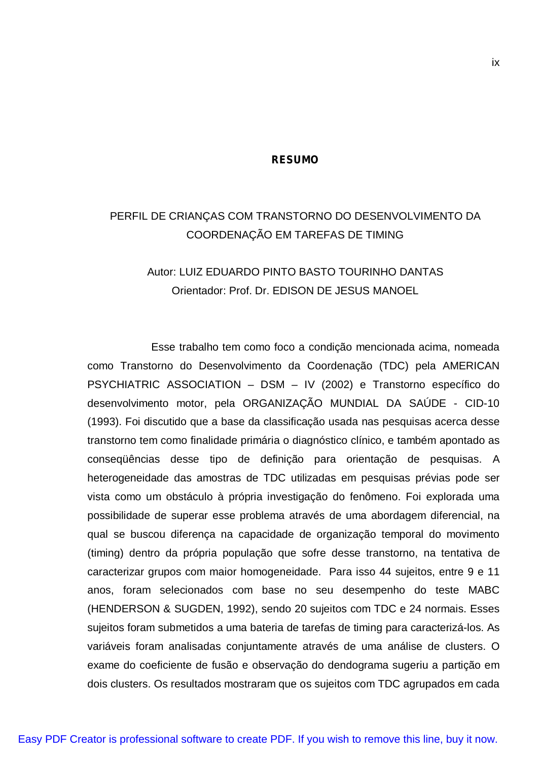#### **RESUMO**

# PERFIL DE CRIANÇAS COM TRANSTORNO DO DESENVOLVIMENTO DA COORDENAÇÃO EM TAREFAS DE TIMING

## Autor: LUIZ EDUARDO PINTO BASTO TOURINHO DANTAS Orientador: Prof. Dr. EDISON DE JESUS MANOEL

Esse trabalho tem como foco a condição mencionada acima, nomeada como Transtorno do Desenvolvimento da Coordenação (TDC) pela AMERICAN PSYCHIATRIC ASSOCIATION – DSM – IV (2002) e Transtorno específico do desenvolvimento motor, pela ORGANIZAÇÃO MUNDIAL DA SAÚDE - CID-10 (1993). Foi discutido que a base da classificação usada nas pesquisas acerca desse transtorno tem como finalidade primária o diagnóstico clínico, e também apontado as conseqüências desse tipo de definição para orientação de pesquisas. A heterogeneidade das amostras de TDC utilizadas em pesquisas prévias pode ser vista como um obstáculo à própria investigação do fenômeno. Foi explorada uma possibilidade de superar esse problema através de uma abordagem diferencial, na qual se buscou diferença na capacidade de organização temporal do movimento (timing) dentro da própria população que sofre desse transtorno, na tentativa de caracterizar grupos com maior homogeneidade. Para isso 44 sujeitos, entre 9 e 11 anos, foram selecionados com base no seu desempenho do teste MABC (HENDERSON & SUGDEN, 1992), sendo 20 sujeitos com TDC e 24 normais. Esses sujeitos foram submetidos a uma bateria de tarefas de timing para caracterizá-los. As variáveis foram analisadas conjuntamente através de uma análise de clusters. O exame do coeficiente de fusão e observação do dendograma sugeriu a partição em dois clusters. Os resultados mostraram que os sujeitos com TDC agrupados em cada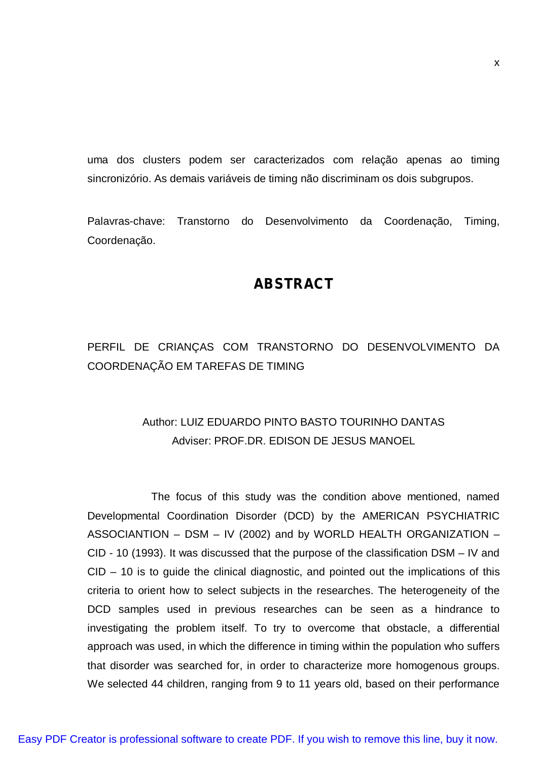uma dos clusters podem ser caracterizados com relação apenas ao timing sincronizório. As demais variáveis de timing não discriminam os dois subgrupos.

Palavras-chave: Transtorno do Desenvolvimento da Coordenação, Timing, Coordenação.

### **ABSTRACT**

## PERFIL DE CRIANÇAS COM TRANSTORNO DO DESENVOLVIMENTO DA COORDENAÇÃO EM TAREFAS DE TIMING

## Author: LUIZ EDUARDO PINTO BASTO TOURINHO DANTAS Adviser: PROF.DR. EDISON DE JESUS MANOEL

The focus of this study was the condition above mentioned, named Developmental Coordination Disorder (DCD) by the AMERICAN PSYCHIATRIC ASSOCIANTION – DSM – IV (2002) and by WORLD HEALTH ORGANIZATION – CID - 10 (1993). It was discussed that the purpose of the classification DSM – IV and  $CID - 10$  is to guide the clinical diagnostic, and pointed out the implications of this criteria to orient how to select subjects in the researches. The heterogeneity of the DCD samples used in previous researches can be seen as a hindrance to investigating the problem itself. To try to overcome that obstacle, a differential approach was used, in which the difference in timing within the population who suffers that disorder was searched for, in order to characterize more homogenous groups. We selected 44 children, ranging from 9 to 11 years old, based on their performance